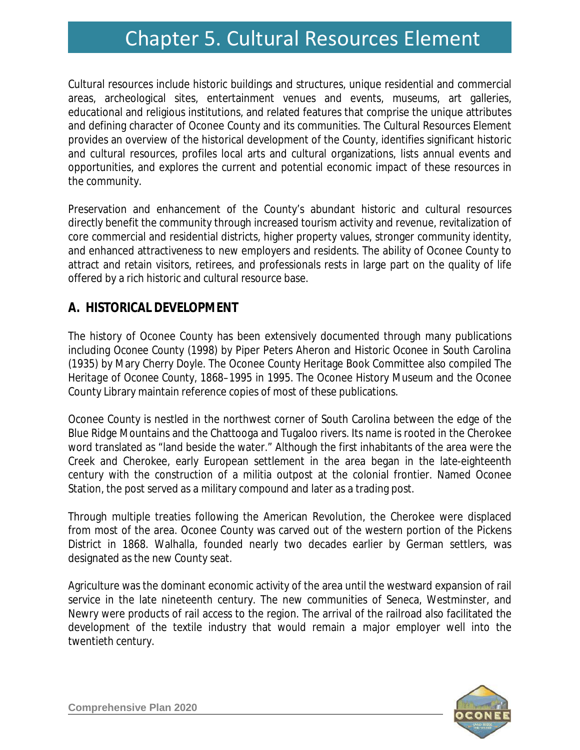# Chapter 5. Cultural Resources Element Chapter 5. Cultural Resources Element

Cultural resources include historic buildings and structures, unique residential and commercial areas, archeological sites, entertainment venues and events, museums, art galleries, educational and religious institutions, and related features that comprise the unique attributes and defining character of Oconee County and its communities. The Cultural Resources Element provides an overview of the historical development of the County, identifies significant historic and cultural resources, profiles local arts and cultural organizations, lists annual events and opportunities, and explores the current and potential economic impact of these resources in the community.

Preservation and enhancement of the County's abundant historic and cultural resources directly benefit the community through increased tourism activity and revenue, revitalization of core commercial and residential districts, higher property values, stronger community identity, and enhanced attractiveness to new employers and residents. The ability of Oconee County to attract and retain visitors, retirees, and professionals rests in large part on the quality of life offered by a rich historic and cultural resource base.

# **A. HISTORICAL DEVELOPMENT**

The history of Oconee County has been extensively documented through many publications including *Oconee County* (1998) by Piper Peters Aheron and *Historic Oconee in South Carolina* (1935) by Mary Cherry Doyle. The Oconee County Heritage Book Committee also compiled *The Heritage of Oconee County, 1868–1995* in 1995. The Oconee History Museum and the Oconee County Library maintain reference copies of most of these publications.

Oconee County is nestled in the northwest corner of South Carolina between the edge of the Blue Ridge Mountains and the Chattooga and Tugaloo rivers. Its name is rooted in the Cherokee word translated as "land beside the water." Although the first inhabitants of the area were the Creek and Cherokee, early European settlement in the area began in the late-eighteenth century with the construction of a militia outpost at the colonial frontier. Named Oconee Station, the post served as a military compound and later as a trading post.

Through multiple treaties following the American Revolution, the Cherokee were displaced from most of the area. Oconee County was carved out of the western portion of the Pickens District in 1868. Walhalla, founded nearly two decades earlier by German settlers, was designated as the new County seat.

Agriculture was the dominant economic activity of the area until the westward expansion of rail service in the late nineteenth century. The new communities of Seneca, Westminster, and Newry were products of rail access to the region. The arrival of the railroad also facilitated the development of the textile industry that would remain a major employer well into the twentieth century.

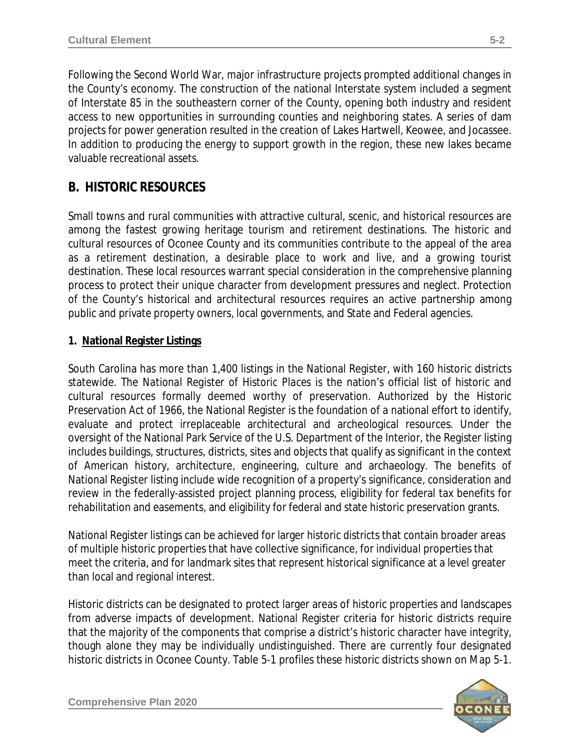Following the Second World War, major infrastructure projects prompted additional changes in the County's economy. The construction of the national Interstate system included a segment of Interstate 85 in the southeastern corner of the County, opening both industry and resident access to new opportunities in surrounding counties and neighboring states. A series of dam projects for power generation resulted in the creation of Lakes Hartwell, Keowee, and Jocassee. In addition to producing the energy to support growth in the region, these new lakes became valuable recreational assets.

# **B. HISTORIC RESOURCES**

Small towns and rural communities with attractive cultural, scenic, and historical resources are among the fastest growing heritage tourism and retirement destinations. The historic and cultural resources of Oconee County and its communities contribute to the appeal of the area as a retirement destination, a desirable place to work and live, and a growing tourist destination. These local resources warrant special consideration in the comprehensive planning process to protect their unique character from development pressures and neglect. Protection of the County's historical and architectural resources requires an active partnership among public and private property owners, local governments, and State and Federal agencies.

### **1. National Register Listings**

South Carolina has more than 1,400 listings in the National Register, with 160 historic districts statewide. The *National Register of Historic Places* is the nation's official list of historic and cultural resources formally deemed worthy of preservation. Authorized by the *Historic Preservation Act of 1966*, the National Register is the foundation of a national effort to identify, evaluate and protect irreplaceable architectural and archeological resources. Under the oversight of the National Park Service of the U.S. Department of the Interior, the Register listing includes buildings, structures, districts, sites and objects that qualify as significant in the context of American history, architecture, engineering, culture and archaeology. The benefits of National Register listing include wide recognition of a property's significance, consideration and review in the federally-assisted project planning process, eligibility for federal tax benefits for rehabilitation and easements, and eligibility for federal and state historic preservation grants.

National Register listings can be achieved for larger *historic districts* that contain broader areas of multiple historic properties that have collective significance, for *individual* properties that meet the criteria, and for *landmark* sites that represent historical significance at a level greater than local and regional interest.

Historic districts can be designated to protect larger areas of historic properties and landscapes from adverse impacts of development. National Register criteria for historic districts require that the majority of the components that comprise a district's historic character have integrity, though alone they may be individually undistinguished. There are currently four designated historic districts in Oconee County. Table 5-1 profiles these historic districts shown on Map 5-1.

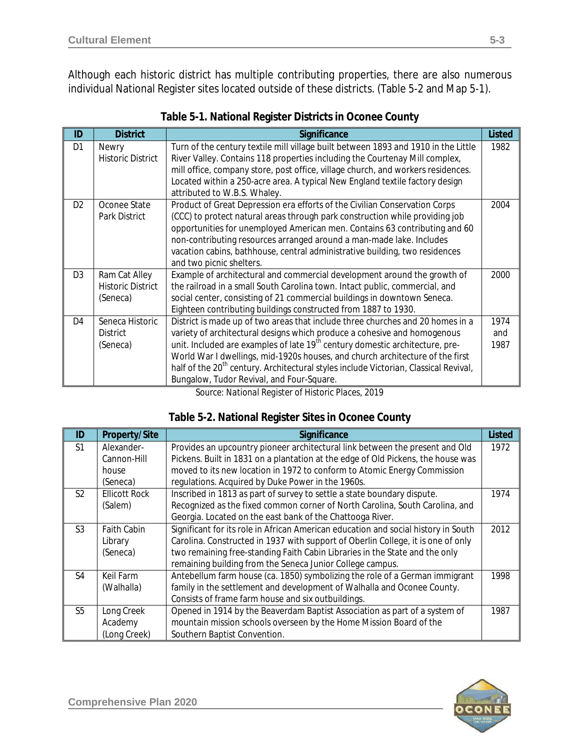Although each historic district has multiple contributing properties, there are also numerous individual National Register sites located outside of these districts. (Table 5-2 and Map 5-1).

| ID             | <b>District</b>          | Significance                                                                                     | <b>Listed</b> |  |  |
|----------------|--------------------------|--------------------------------------------------------------------------------------------------|---------------|--|--|
| D1             | <b>Newry</b>             | Turn of the century textile mill village built between 1893 and 1910 in the Little               | 1982          |  |  |
|                | <b>Historic District</b> | River Valley. Contains 118 properties including the Courtenay Mill complex,                      |               |  |  |
|                |                          | mill office, company store, post office, village church, and workers residences.                 |               |  |  |
|                |                          | Located within a 250-acre area. A typical New England textile factory design                     |               |  |  |
|                |                          | attributed to W.B.S. Whaley.                                                                     |               |  |  |
| D <sub>2</sub> | Oconee State             | Product of Great Depression era efforts of the Civilian Conservation Corps                       | 2004          |  |  |
|                | Park District            | (CCC) to protect natural areas through park construction while providing job                     |               |  |  |
|                |                          | opportunities for unemployed American men. Contains 63 contributing and 60                       |               |  |  |
|                |                          | non-contributing resources arranged around a man-made lake. Includes                             |               |  |  |
|                |                          | vacation cabins, bathhouse, central administrative building, two residences                      |               |  |  |
|                |                          | and two picnic shelters.                                                                         |               |  |  |
| D <sub>3</sub> | Ram Cat Alley            | Example of architectural and commercial development around the growth of                         |               |  |  |
|                | <b>Historic District</b> | the railroad in a small South Carolina town. Intact public, commercial, and                      |               |  |  |
|                | (Seneca)                 | social center, consisting of 21 commercial buildings in downtown Seneca.                         |               |  |  |
|                |                          | Eighteen contributing buildings constructed from 1887 to 1930.                                   |               |  |  |
| D4             | Seneca Historic          | District is made up of two areas that include three churches and 20 homes in a                   | 1974          |  |  |
|                | <b>District</b>          | variety of architectural designs which produce a cohesive and homogenous                         | and<br>1987   |  |  |
|                | (Seneca)                 | unit. Included are examples of late 19 <sup>th</sup> century domestic architecture, pre-         |               |  |  |
|                |                          | World War I dwellings, mid-1920s houses, and church architecture of the first                    |               |  |  |
|                |                          | half of the 20 <sup>th</sup> century. Architectural styles include Victorian, Classical Revival, |               |  |  |
|                |                          | Bungalow, Tudor Revival, and Four-Square.                                                        |               |  |  |

| Table 5-1. National Register Districts in Oconee County |  |  |  |
|---------------------------------------------------------|--|--|--|
|                                                         |  |  |  |

*Source: National Register of Historic Places, 2019*

#### **Table 5-2. National Register Sites in Oconee County**

| ID             | <b>Property/Site</b> | Significance                                                                       | <b>Listed</b> |  |  |
|----------------|----------------------|------------------------------------------------------------------------------------|---------------|--|--|
| S <sub>1</sub> | Alexander-           | Provides an upcountry pioneer architectural link between the present and Old       | 1972          |  |  |
|                | Cannon-Hill          | Pickens. Built in 1831 on a plantation at the edge of Old Pickens, the house was   |               |  |  |
|                | house                | moved to its new location in 1972 to conform to Atomic Energy Commission           |               |  |  |
|                | (Seneca)             | regulations. Acquired by Duke Power in the 1960s.                                  |               |  |  |
| S <sub>2</sub> | <b>Ellicott Rock</b> | Inscribed in 1813 as part of survey to settle a state boundary dispute.            | 1974          |  |  |
|                | (Salem)              | Recognized as the fixed common corner of North Carolina, South Carolina, and       |               |  |  |
|                |                      | Georgia. Located on the east bank of the Chattooga River.                          |               |  |  |
| S <sub>3</sub> | <b>Faith Cabin</b>   | Significant for its role in African American education and social history in South | 2012          |  |  |
|                | Library              | Carolina. Constructed in 1937 with support of Oberlin College, it is one of only   |               |  |  |
|                | (Seneca)             | two remaining free-standing Faith Cabin Libraries in the State and the only        |               |  |  |
|                |                      | remaining building from the Seneca Junior College campus.                          |               |  |  |
| S <sub>4</sub> | Keil Farm            | Antebellum farm house (ca. 1850) symbolizing the role of a German immigrant        | 1998          |  |  |
|                | (Walhalla)           | family in the settlement and development of Walhalla and Oconee County.            |               |  |  |
|                |                      | Consists of frame farm house and six outbuildings.                                 |               |  |  |
| S <sub>5</sub> | Long Creek           | Opened in 1914 by the Beaverdam Baptist Association as part of a system of         | 1987          |  |  |
|                | Academy              | mountain mission schools overseen by the Home Mission Board of the                 |               |  |  |
|                | (Long Creek)         | Southern Baptist Convention.                                                       |               |  |  |

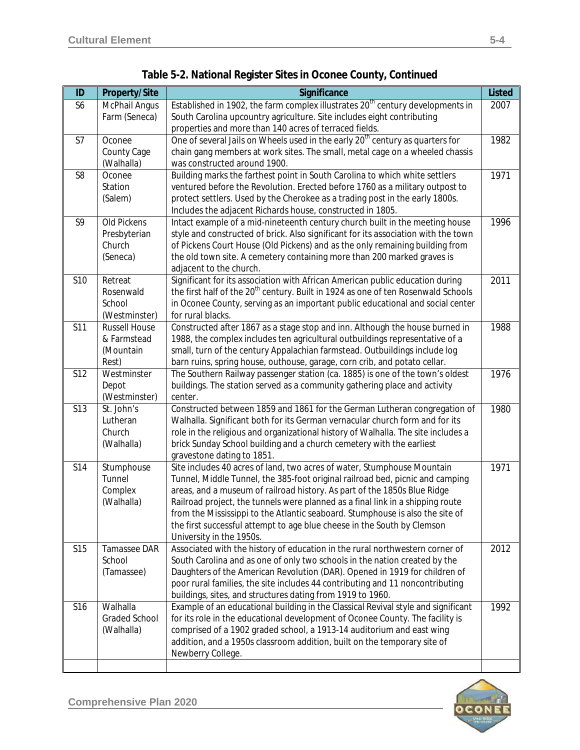| ID             | <b>Property/Site</b> | Significance                                                                                  | <b>Listed</b> |
|----------------|----------------------|-----------------------------------------------------------------------------------------------|---------------|
| S <sub>6</sub> | McPhail Angus        | Established in 1902, the farm complex illustrates 20 <sup>th</sup> century developments in    | 2007          |
|                | Farm (Seneca)        | South Carolina upcountry agriculture. Site includes eight contributing                        |               |
|                |                      | properties and more than 140 acres of terraced fields.                                        |               |
| S7             | Oconee               | One of several Jails on Wheels used in the early 20 <sup>th</sup> century as quarters for     | 1982          |
|                | County Cage          | chain gang members at work sites. The small, metal cage on a wheeled chassis                  |               |
|                | (Walhalla)           | was constructed around 1900.                                                                  |               |
| S <sub>8</sub> | Oconee               | Building marks the farthest point in South Carolina to which white settlers                   | 1971          |
|                | Station              | ventured before the Revolution. Erected before 1760 as a military outpost to                  |               |
|                | (Salem)              | protect settlers. Used by the Cherokee as a trading post in the early 1800s.                  |               |
|                |                      | Includes the adjacent Richards house, constructed in 1805.                                    |               |
| S9             | Old Pickens          | Intact example of a mid-nineteenth century church built in the meeting house                  | 1996          |
|                | Presbyterian         | style and constructed of brick. Also significant for its association with the town            |               |
|                | Church               | of Pickens Court House (Old Pickens) and as the only remaining building from                  |               |
|                | (Seneca)             | the old town site. A cemetery containing more than 200 marked graves is                       |               |
|                |                      | adjacent to the church.                                                                       |               |
| <b>S10</b>     | Retreat              | Significant for its association with African American public education during                 | 2011          |
|                | Rosenwald            | the first half of the 20 <sup>th</sup> century. Built in 1924 as one of ten Rosenwald Schools |               |
|                | School               | in Oconee County, serving as an important public educational and social center                |               |
|                | (Westminster)        | for rural blacks.                                                                             |               |
| <b>S11</b>     | <b>Russell House</b> | Constructed after 1867 as a stage stop and inn. Although the house burned in                  | 1988          |
|                | & Farmstead          | 1988, the complex includes ten agricultural outbuildings representative of a                  |               |
|                | (Mountain            | small, turn of the century Appalachian farmstead. Outbuildings include log                    |               |
|                | Rest)                | barn ruins, spring house, outhouse, garage, corn crib, and potato cellar.                     |               |
| S12            | Westminster          | The Southern Railway passenger station (ca. 1885) is one of the town's oldest                 | 1976          |
|                | Depot                | buildings. The station served as a community gathering place and activity                     |               |
|                | (Westminster)        | center.                                                                                       |               |
| S13            | St. John's           | Constructed between 1859 and 1861 for the German Lutheran congregation of                     | 1980          |
|                | Lutheran             | Walhalla. Significant both for its German vernacular church form and for its                  |               |
|                | Church               | role in the religious and organizational history of Walhalla. The site includes a             |               |
|                | (Walhalla)           | brick Sunday School building and a church cemetery with the earliest                          |               |
|                |                      | gravestone dating to 1851.                                                                    |               |
| S14            | Stumphouse           | Site includes 40 acres of land, two acres of water, Stumphouse Mountain                       | 1971          |
|                | Tunnel               | Tunnel, Middle Tunnel, the 385-foot original railroad bed, picnic and camping                 |               |
|                | Complex              | areas, and a museum of railroad history. As part of the 1850s Blue Ridge                      |               |
|                | (Walhalla)           | Railroad project, the tunnels were planned as a final link in a shipping route                |               |
|                |                      | from the Mississippi to the Atlantic seaboard. Stumphouse is also the site of                 |               |
|                |                      | the first successful attempt to age blue cheese in the South by Clemson                       |               |
|                |                      | University in the 1950s.                                                                      |               |
| S15            | Tamassee DAR         | Associated with the history of education in the rural northwestern corner of                  | 2012          |
|                | School               | South Carolina and as one of only two schools in the nation created by the                    |               |
|                | (Tamassee)           | Daughters of the American Revolution (DAR). Opened in 1919 for children of                    |               |
|                |                      | poor rural families, the site includes 44 contributing and 11 noncontributing                 |               |
|                |                      | buildings, sites, and structures dating from 1919 to 1960.                                    |               |
| S16            | Walhalla             | Example of an educational building in the Classical Revival style and significant             | 1992          |
|                | <b>Graded School</b> | for its role in the educational development of Oconee County. The facility is                 |               |
|                | (Walhalla)           | comprised of a 1902 graded school, a 1913-14 auditorium and east wing                         |               |
|                |                      | addition, and a 1950s classroom addition, built on the temporary site of                      |               |
|                |                      | Newberry College.                                                                             |               |
|                |                      |                                                                                               |               |

**Table 5-2. National Register Sites in Oconee County,** *Continued*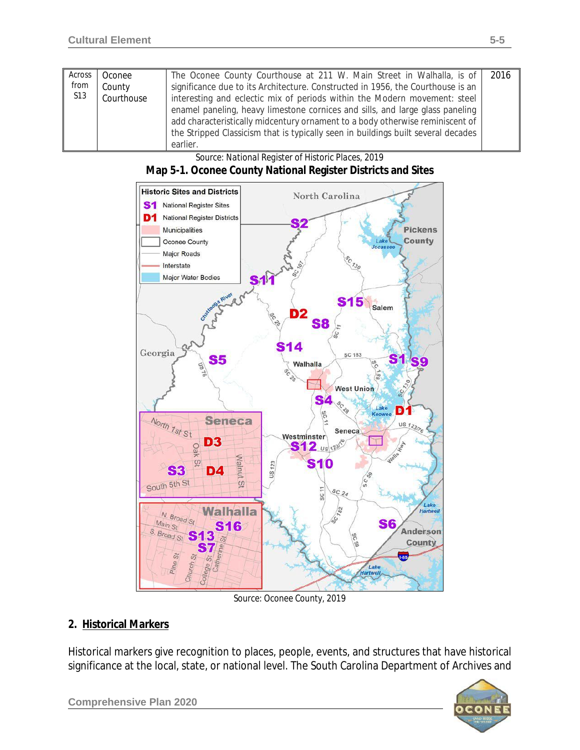| Across     | Oconee     | The Oconee County Courthouse at 211 W. Main Street in Walhalla, is of             | 2016 |
|------------|------------|-----------------------------------------------------------------------------------|------|
| from       | County     | significance due to its Architecture. Constructed in 1956, the Courthouse is an   |      |
| <b>S13</b> | Courthouse | interesting and eclectic mix of periods within the Modern movement: steel         |      |
|            |            | enamel paneling, heavy limestone cornices and sills, and large glass paneling     |      |
|            |            | add characteristically midcentury ornament to a body otherwise reminiscent of     |      |
|            |            | the Stripped Classicism that is typically seen in buildings built several decades |      |
|            |            | earlier.                                                                          |      |

| Source: National Register of Historic Places, 2019           |
|--------------------------------------------------------------|
| Map 5-1. Oconee County National Register Districts and Sites |



*Source: Oconee County, 2019*

#### **2. Historical Markers**

Historical markers give recognition to places, people, events, and structures that have historical significance at the local, state, or national level. The South Carolina Department of Archives and

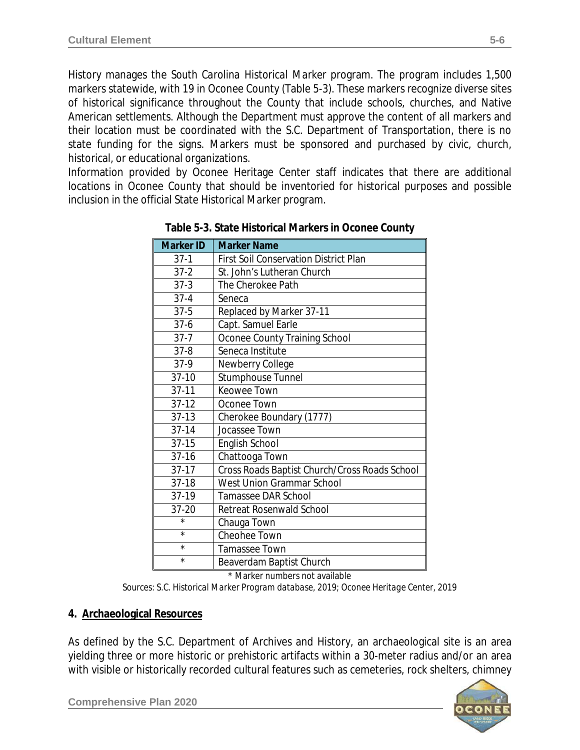History manages the *South Carolina Historical Marker* program. The program includes 1,500 markers statewide, with 19 in Oconee County (Table 5-3). These markers recognize diverse sites of historical significance throughout the County that include schools, churches, and Native American settlements. Although the Department must approve the content of all markers and their location must be coordinated with the S.C. Department of Transportation, there is no state funding for the signs. Markers must be sponsored and purchased by civic, church, historical, or educational organizations.

Information provided by Oconee Heritage Center staff indicates that there are additional locations in Oconee County that should be inventoried for historical purposes and possible inclusion in the official State Historical Marker program.

| <b>Marker ID</b> | <b>Marker Name</b>                            |
|------------------|-----------------------------------------------|
| $37-1$           | <b>First Soil Conservation District Plan</b>  |
| $37 - 2$         | St. John's Lutheran Church                    |
| $37-3$           | The Cherokee Path                             |
| $37 - 4$         | Seneca                                        |
| $37 - 5$         | Replaced by Marker 37-11                      |
| $37 - 6$         | Capt. Samuel Earle                            |
| $37 - 7$         | Oconee County Training School                 |
| $37 - 8$         | Seneca Institute                              |
| $37-9$           | Newberry College                              |
| $37-10$          | Stumphouse Tunnel                             |
| $37 - 11$        | Keowee Town                                   |
| $37-12$          | Oconee Town                                   |
| $37-13$          | Cherokee Boundary (1777)                      |
| $37 - 14$        | Jocassee Town                                 |
| $37 - 15$        | English School                                |
| $37 - 16$        | Chattooga Town                                |
| $37-17$          | Cross Roads Baptist Church/Cross Roads School |
| $37-18$          | West Union Grammar School                     |
| 37-19            | <b>Tamassee DAR School</b>                    |
| 37-20            | Retreat Rosenwald School                      |
| $\star$          | Chauga Town                                   |
| $^\star$         | Cheohee Town                                  |
| $\star$          | Tamassee Town                                 |
| $\star$          | Beaverdam Baptist Church                      |

**Table 5-3. State Historical Markers in Oconee County**

\* Marker numbers not available

*Sources: S.C. Historical Marker Program database, 2019; Oconee Heritage Center, 2019*

#### **4. Archaeological Resources**

As defined by the S.C. Department of Archives and History, an archaeological site is an area yielding three or more historic or prehistoric artifacts within a 30-meter radius and/or an area with visible or historically recorded cultural features such as cemeteries, rock shelters, chimney

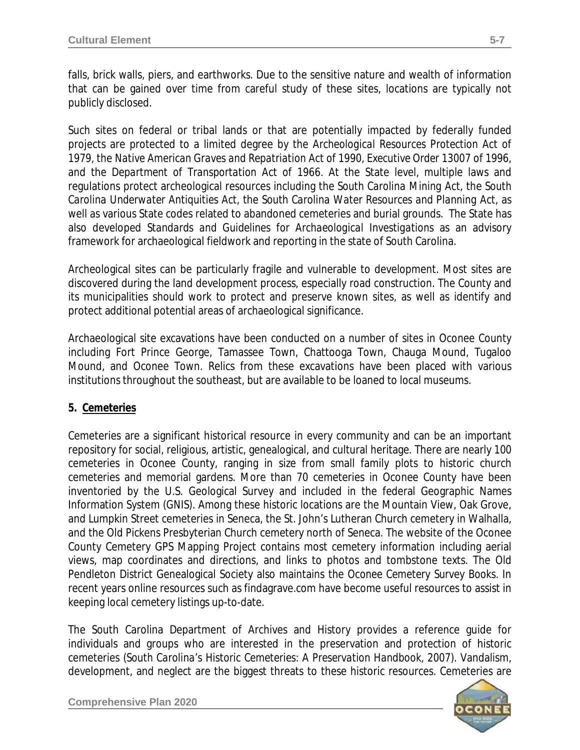falls, brick walls, piers, and earthworks. Due to the sensitive nature and wealth of information that can be gained over time from careful study of these sites, locations are typically not publicly disclosed.

Such sites on federal or tribal lands or that are potentially impacted by federally funded projects are protected to a limited degree by the *Archeological Resources Protection Act of 1979*, the *Native American Graves and Repatriation Act of 1990*, *Executive Order 13007* of 1996, and the *Department of Transportation Act of 1966*. At the State level, multiple laws and regulations protect archeological resources including the *South Carolina Mining Act*, the *South Carolina Underwater Antiquities Act*, the *South Carolina Water Resources and Planning Act*, as well as various State codes related to abandoned cemeteries and burial grounds. The State has also developed *Standards and Guidelines for Archaeological Investigations* as an advisory framework for archaeological fieldwork and reporting in the state of South Carolina.

Archeological sites can be particularly fragile and vulnerable to development. Most sites are discovered during the land development process, especially road construction. The County and its municipalities should work to protect and preserve known sites, as well as identify and protect additional potential areas of archaeological significance.

Archaeological site excavations have been conducted on a number of sites in Oconee County including Fort Prince George, Tamassee Town, Chattooga Town, Chauga Mound, Tugaloo Mound, and Oconee Town. Relics from these excavations have been placed with various institutions throughout the southeast, but are available to be loaned to local museums.

## **5. Cemeteries**

Cemeteries are a significant historical resource in every community and can be an important repository for social, religious, artistic, genealogical, and cultural heritage. There are nearly 100 cemeteries in Oconee County, ranging in size from small family plots to historic church cemeteries and memorial gardens. More than 70 cemeteries in Oconee County have been inventoried by the U.S. Geological Survey and included in the federal Geographic Names Information System (GNIS). Among these historic locations are the Mountain View, Oak Grove, and Lumpkin Street cemeteries in Seneca, the St. John's Lutheran Church cemetery in Walhalla, and the Old Pickens Presbyterian Church cemetery north of Seneca. The website of the Oconee County Cemetery GPS Mapping Project contains most cemetery information including aerial views, map coordinates and directions, and links to photos and tombstone texts. The Old Pendleton District Genealogical Society also maintains the *Oconee Cemetery Survey Books*. In recent years online resources such as findagrave.com have become useful resources to assist in keeping local cemetery listings up-to-date.

The South Carolina Department of Archives and History provides a reference guide for individuals and groups who are interested in the preservation and protection of historic cemeteries (*South Carolina's Historic Cemeteries: A Preservation Handbook, 2007)*. Vandalism, development, and neglect are the biggest threats to these historic resources. Cemeteries are

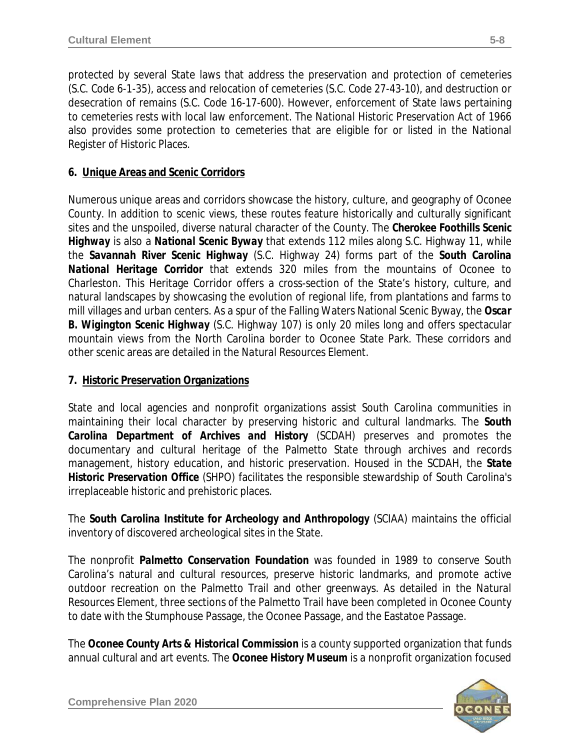protected by several State laws that address the preservation and protection of cemeteries (*S.C. Code 6-1-35*), access and relocation of cemeteries (*S.C. Code 27-43-10*), and destruction or desecration of remains (*S.C. Code 16-17-600*). However, enforcement of State laws pertaining to cemeteries rests with local law enforcement. The *National Historic Preservation Act of 1966* also provides some protection to cemeteries that are eligible for or listed in the National Register of Historic Places.

## **6. Unique Areas and Scenic Corridors**

Numerous unique areas and corridors showcase the history, culture, and geography of Oconee County. In addition to scenic views, these routes feature historically and culturally significant sites and the unspoiled, diverse natural character of the County. The *Cherokee Foothills Scenic Highway* is also a *National Scenic Byway* that extends 112 miles along S.C. Highway 11, while the *Savannah River Scenic Highway* (S.C. Highway 24) forms part of the *South Carolina National Heritage Corridor* that extends 320 miles from the mountains of Oconee to Charleston. This Heritage Corridor offers a cross-section of the State's history, culture, and natural landscapes by showcasing the evolution of regional life, from plantations and farms to mill villages and urban centers. As a spur of the Falling Waters National Scenic Byway, the *Oscar B. Wigington Scenic Highway* (S.C. Highway 107) is only 20 miles long and offers spectacular mountain views from the North Carolina border to Oconee State Park. These corridors and other scenic areas are detailed in the *Natural Resources Element*.

#### **7. Historic Preservation Organizations**

State and local agencies and nonprofit organizations assist South Carolina communities in maintaining their local character by preserving historic and cultural landmarks. The *South Carolina Department of Archives and History* (SCDAH) preserves and promotes the documentary and cultural heritage of the Palmetto State through archives and records management, history education, and historic preservation. Housed in the SCDAH, the *State Historic Preservation Office* (SHPO) facilitates the responsible stewardship of South Carolina's irreplaceable historic and prehistoric places.

The *South Carolina Institute for Archeology and Anthropology* (SCIAA) maintains the official inventory of discovered archeological sites in the State.

The nonprofit *Palmetto Conservation Foundation* was founded in 1989 to conserve South Carolina's natural and cultural resources, preserve historic landmarks, and promote active outdoor recreation on the Palmetto Trail and other greenways. As detailed in the *Natural Resources Element*, three sections of the Palmetto Trail have been completed in Oconee County to date with the Stumphouse Passage, the Oconee Passage, and the Eastatoe Passage.

The *Oconee County Arts & Historical Commission* is a county supported organization that funds annual cultural and art events. The *Oconee History Museum* is a nonprofit organization focused

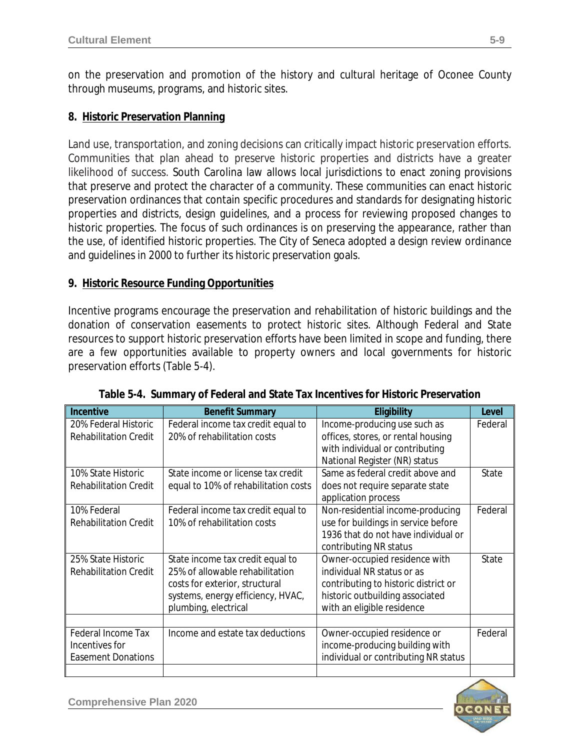on the preservation and promotion of the history and cultural heritage of Oconee County through museums, programs, and historic sites.

#### **8. Historic Preservation Planning**

Land use, transportation, and zoning decisions can critically impact historic preservation efforts. Communities that plan ahead to preserve historic properties and districts have a greater likelihood of success. South Carolina law allows local jurisdictions to enact zoning provisions that preserve and protect the character of a community. These communities can enact historic preservation ordinances that contain specific procedures and standards for designating historic properties and districts, design guidelines, and a process for reviewing proposed changes to historic properties. The focus of such ordinances is on preserving the appearance, rather than the use, of identified historic properties. The City of Seneca adopted a design review ordinance and guidelines in 2000 to further its historic preservation goals.

#### **9. Historic Resource Funding Opportunities**

Incentive programs encourage the preservation and rehabilitation of historic buildings and the donation of conservation easements to protect historic sites. Although Federal and State resources to support historic preservation efforts have been limited in scope and funding, there are a few opportunities available to property owners and local governments for historic preservation efforts (Table 5-4).

| <b>Incentive</b>             | <b>Benefit Summary</b>               | Eligibility                          | Level   |
|------------------------------|--------------------------------------|--------------------------------------|---------|
| 20% Federal Historic         | Federal income tax credit equal to   | Income-producing use such as         | Federal |
| <b>Rehabilitation Credit</b> | 20% of rehabilitation costs          | offices, stores, or rental housing   |         |
|                              |                                      | with individual or contributing      |         |
|                              |                                      | National Register (NR) status        |         |
| 10% State Historic           | State income or license tax credit   | Same as federal credit above and     | State   |
| <b>Rehabilitation Credit</b> | equal to 10% of rehabilitation costs | does not require separate state      |         |
|                              |                                      | application process                  |         |
| 10% Federal                  | Federal income tax credit equal to   | Non-residential income-producing     | Federal |
| <b>Rehabilitation Credit</b> | 10% of rehabilitation costs          | use for buildings in service before  |         |
|                              |                                      | 1936 that do not have individual or  |         |
|                              |                                      | contributing NR status               |         |
| 25% State Historic           | State income tax credit equal to     | Owner-occupied residence with        | State   |
| <b>Rehabilitation Credit</b> | 25% of allowable rehabilitation      | individual NR status or as           |         |
|                              | costs for exterior, structural       | contributing to historic district or |         |
|                              | systems, energy efficiency, HVAC,    | historic outbuilding associated      |         |
|                              | plumbing, electrical                 | with an eligible residence           |         |
|                              |                                      |                                      |         |
| Federal Income Tax           | Income and estate tax deductions     | Owner-occupied residence or          | Federal |
| Incentives for               |                                      | income-producing building with       |         |
| <b>Easement Donations</b>    |                                      | individual or contributing NR status |         |
|                              |                                      |                                      |         |

**Table 5-4. Summary of Federal and State Tax Incentives for Historic Preservation**

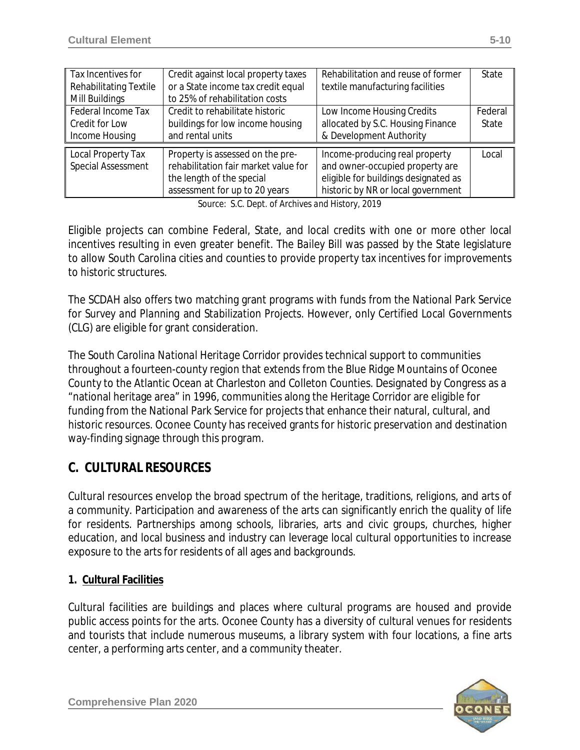| Tax Incentives for<br><b>Rehabilitating Textile</b><br>Mill Buildings | Credit against local property taxes<br>or a State income tax credit equal<br>to 25% of rehabilitation costs                            | Rehabilitation and reuse of former<br>textile manufacturing facilities                                                                          | State            |
|-----------------------------------------------------------------------|----------------------------------------------------------------------------------------------------------------------------------------|-------------------------------------------------------------------------------------------------------------------------------------------------|------------------|
| Federal Income Tax<br>Credit for Low<br>Income Housing                | Credit to rehabilitate historic<br>buildings for low income housing<br>and rental units                                                | Low Income Housing Credits<br>allocated by S.C. Housing Finance<br>& Development Authority                                                      | Federal<br>State |
| Local Property Tax<br>Special Assessment                              | Property is assessed on the pre-<br>rehabilitation fair market value for<br>the length of the special<br>assessment for up to 20 years | Income-producing real property<br>and owner-occupied property are<br>eligible for buildings designated as<br>historic by NR or local government | Local            |

*Source: S.C. Dept. of Archives and History, 2019*

Eligible projects can combine Federal, State, and local credits with one or more other local incentives resulting in even greater benefit. The *Bailey Bill* was passed by the State legislature to allow South Carolina cities and counties to provide property tax incentives for improvements to historic structures.

The SCDAH also offers two matching grant programs with funds from the National Park Service for *Survey and Planning* and *Stabilization Projects*. However, only Certified Local Governments (CLG) are eligible for grant consideration.

The *South Carolina National Heritage Corridor* provides technical support to communities throughout a fourteen-county region that extends from the Blue Ridge Mountains of Oconee County to the Atlantic Ocean at Charleston and Colleton Counties. Designated by Congress as a "national heritage area" in 1996, communities along the Heritage Corridor are eligible for funding from the National Park Service for projects that enhance their natural, cultural, and historic resources. Oconee County has received grants for historic preservation and destination way-finding signage through this program.

# **C. CULTURAL RESOURCES**

Cultural resources envelop the broad spectrum of the heritage, traditions, religions, and arts of a community. Participation and awareness of the arts can significantly enrich the quality of life for residents. Partnerships among schools, libraries, arts and civic groups, churches, higher education, and local business and industry can leverage local cultural opportunities to increase exposure to the arts for residents of all ages and backgrounds.

## **1. Cultural Facilities**

Cultural facilities are buildings and places where cultural programs are housed and provide public access points for the arts. Oconee County has a diversity of cultural venues for residents and tourists that include numerous museums, a library system with four locations, a fine arts center, a performing arts center, and a community theater.

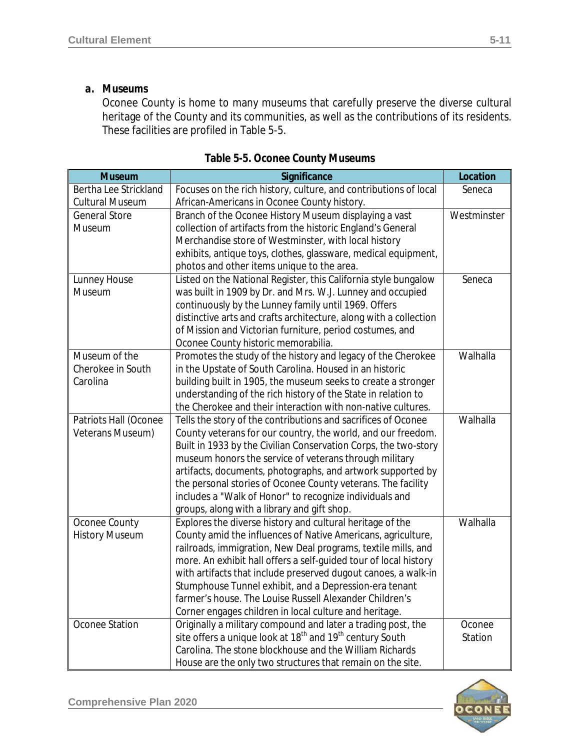#### *a. Museums*

Oconee County is home to many museums that carefully preserve the diverse cultural heritage of the County and its communities, as well as the contributions of its residents. These facilities are profiled in Table 5-5.

| <b>Museum</b>          | Significance                                                                     | Location    |
|------------------------|----------------------------------------------------------------------------------|-------------|
| Bertha Lee Strickland  | Focuses on the rich history, culture, and contributions of local                 | Seneca      |
| <b>Cultural Museum</b> | African-Americans in Oconee County history.                                      |             |
| <b>General Store</b>   | Branch of the Oconee History Museum displaying a vast                            | Westminster |
| Museum                 | collection of artifacts from the historic England's General                      |             |
|                        | Merchandise store of Westminster, with local history                             |             |
|                        | exhibits, antique toys, clothes, glassware, medical equipment,                   |             |
|                        | photos and other items unique to the area.                                       |             |
| Lunney House           | Listed on the National Register, this California style bungalow                  | Seneca      |
| Museum                 | was built in 1909 by Dr. and Mrs. W.J. Lunney and occupied                       |             |
|                        | continuously by the Lunney family until 1969. Offers                             |             |
|                        | distinctive arts and crafts architecture, along with a collection                |             |
|                        | of Mission and Victorian furniture, period costumes, and                         |             |
|                        | Oconee County historic memorabilia.                                              |             |
| Museum of the          | Promotes the study of the history and legacy of the Cherokee                     | Walhalla    |
| Cherokee in South      | in the Upstate of South Carolina. Housed in an historic                          |             |
| Carolina               | building built in 1905, the museum seeks to create a stronger                    |             |
|                        | understanding of the rich history of the State in relation to                    |             |
|                        | the Cherokee and their interaction with non-native cultures.                     |             |
| Patriots Hall (Oconee  | Tells the story of the contributions and sacrifices of Oconee                    | Walhalla    |
| Veterans Museum)       | County veterans for our country, the world, and our freedom.                     |             |
|                        | Built in 1933 by the Civilian Conservation Corps, the two-story                  |             |
|                        | museum honors the service of veterans through military                           |             |
|                        | artifacts, documents, photographs, and artwork supported by                      |             |
|                        | the personal stories of Oconee County veterans. The facility                     |             |
|                        | includes a "Walk of Honor" to recognize individuals and                          |             |
|                        | groups, along with a library and gift shop.                                      |             |
| Oconee County          | Explores the diverse history and cultural heritage of the                        | Walhalla    |
| <b>History Museum</b>  | County amid the influences of Native Americans, agriculture,                     |             |
|                        | railroads, immigration, New Deal programs, textile mills, and                    |             |
|                        | more. An exhibit hall offers a self-guided tour of local history                 |             |
|                        | with artifacts that include preserved dugout canoes, a walk-in                   |             |
|                        | Stumphouse Tunnel exhibit, and a Depression-era tenant                           |             |
|                        | farmer's house. The Louise Russell Alexander Children's                          |             |
|                        | Corner engages children in local culture and heritage.                           |             |
| Oconee Station         | Originally a military compound and later a trading post, the                     | Oconee      |
|                        | site offers a unique look at 18 <sup>th</sup> and 19 <sup>th</sup> century South | Station     |
|                        | Carolina. The stone blockhouse and the William Richards                          |             |
|                        | House are the only two structures that remain on the site.                       |             |

| Table 5-5. Oconee County Museums |  |
|----------------------------------|--|
|----------------------------------|--|

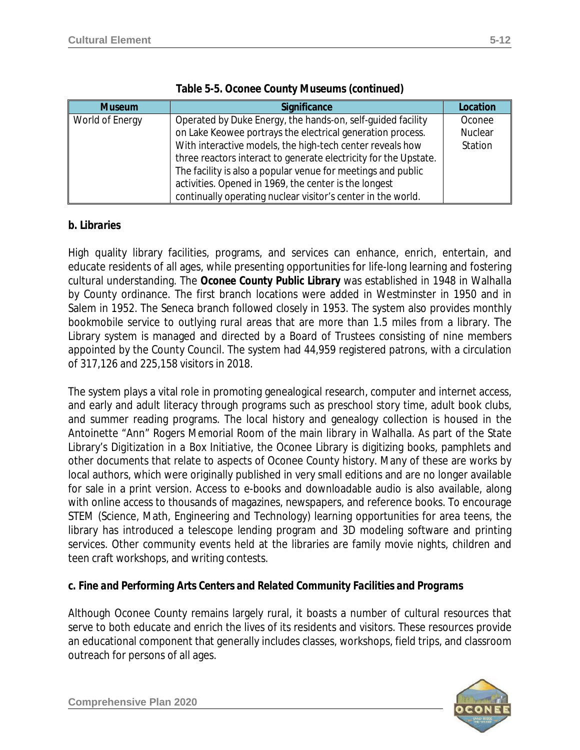| <b>Museum</b>   | Significance                                                     | Location |  |  |
|-----------------|------------------------------------------------------------------|----------|--|--|
| World of Energy | Operated by Duke Energy, the hands-on, self-quided facility      | Oconee   |  |  |
|                 | on Lake Keowee portrays the electrical generation process.       | Nuclear  |  |  |
|                 | With interactive models, the high-tech center reveals how        |          |  |  |
|                 | three reactors interact to generate electricity for the Upstate. |          |  |  |
|                 | The facility is also a popular venue for meetings and public     |          |  |  |
|                 | activities. Opened in 1969, the center is the longest            |          |  |  |
|                 | continually operating nuclear visitor's center in the world.     |          |  |  |

#### **Table 5-5. Oconee County Museums (continued)**

#### *b. Libraries*

High quality library facilities, programs, and services can enhance, enrich, entertain, and educate residents of all ages, while presenting opportunities for life-long learning and fostering cultural understanding. The *Oconee County Public Library* was established in 1948 in Walhalla by County ordinance. The first branch locations were added in Westminster in 1950 and in Salem in 1952. The Seneca branch followed closely in 1953. The system also provides monthly bookmobile service to outlying rural areas that are more than 1.5 miles from a library. The Library system is managed and directed by a Board of Trustees consisting of nine members appointed by the County Council. The system had 44,959 registered patrons, with a circulation of 317,126 and 225,158 visitors in 2018.

The system plays a vital role in promoting genealogical research, computer and internet access, and early and adult literacy through programs such as preschool story time, adult book clubs, and summer reading programs. The local history and genealogy collection is housed in the Antoinette "Ann" Rogers Memorial Room of the main library in Walhalla. As part of the State Library's *Digitization in a Box Initiative*, the Oconee Library is digitizing books, pamphlets and other documents that relate to aspects of Oconee County history. Many of these are works by local authors, which were originally published in very small editions and are no longer available for sale in a print version. Access to e-books and downloadable audio is also available, along with online access to thousands of magazines, newspapers, and reference books. To encourage STEM (Science, Math, Engineering and Technology) learning opportunities for area teens, the library has introduced a telescope lending program and 3D modeling software and printing services. Other community events held at the libraries are family movie nights, children and teen craft workshops, and writing contests.

#### *c. Fine and Performing Arts Centers and Related Community Facilities and Programs*

Although Oconee County remains largely rural, it boasts a number of cultural resources that serve to both educate and enrich the lives of its residents and visitors. These resources provide an educational component that generally includes classes, workshops, field trips, and classroom outreach for persons of all ages.

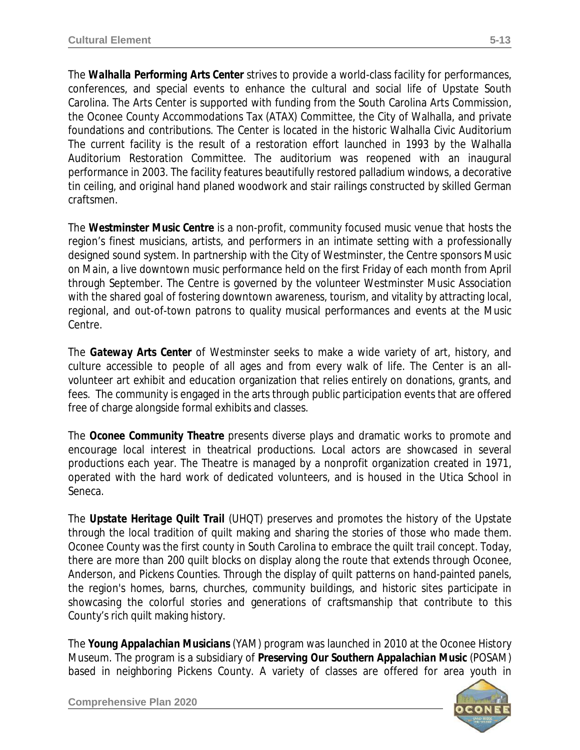The *Walhalla Performing Arts Center* strives to provide a world-class facility for performances, conferences, and special events to enhance the cultural and social life of Upstate South Carolina. The Arts Center is supported with funding from the South Carolina Arts Commission, the Oconee County Accommodations Tax (ATAX) Committee, the City of Walhalla, and private foundations and contributions. The Center is located in the historic Walhalla Civic Auditorium The current facility is the result of a restoration effort launched in 1993 by the Walhalla Auditorium Restoration Committee. The auditorium was reopened with an inaugural performance in 2003. The facility features beautifully restored palladium windows, a decorative tin ceiling, and original hand planed woodwork and stair railings constructed by skilled German craftsmen.

The *Westminster Music Centre* is a non-profit, community focused music venue that hosts the region's finest musicians, artists, and performers in an intimate setting with a professionally designed sound system. In partnership with the City of Westminster, the Centre sponsors *Music on Main*, a live downtown music performance held on the first Friday of each month from April through September. The Centre is governed by the volunteer Westminster Music Association with the shared goal of fostering downtown awareness, tourism, and vitality by attracting local, regional, and out-of-town patrons to quality musical performances and events at the Music Centre.

The *Gateway Arts Center* of Westminster seeks to make a wide variety of art, history, and culture accessible to people of all ages and from every walk of life. The Center is an allvolunteer art exhibit and education organization that relies entirely on donations, grants, and fees. The community is engaged in the arts through public participation events that are offered free of charge alongside formal exhibits and classes.

The *Oconee Community Theatre* presents diverse plays and dramatic works to promote and encourage local interest in theatrical productions. Local actors are showcased in several productions each year. The Theatre is managed by a nonprofit organization created in 1971, operated with the hard work of dedicated volunteers, and is housed in the Utica School in Seneca.

The *Upstate Heritage Quilt Trail* (UHQT) preserves and promotes the history of the Upstate through the local tradition of quilt making and sharing the stories of those who made them. Oconee County was the first county in South Carolina to embrace the quilt trail concept. Today, there are more than 200 quilt blocks on display along the route that extends through Oconee, Anderson, and Pickens Counties. Through the display of quilt patterns on hand-painted panels, the region's homes, barns, churches, community buildings, and historic sites participate in showcasing the colorful stories and generations of craftsmanship that contribute to this County's rich quilt making history.

The *Young Appalachian Musicians* (YAM) program was launched in 2010 at the Oconee History Museum. The program is a subsidiary of *Preserving Our Southern Appalachian Music* (POSAM) based in neighboring Pickens County. A variety of classes are offered for area youth in

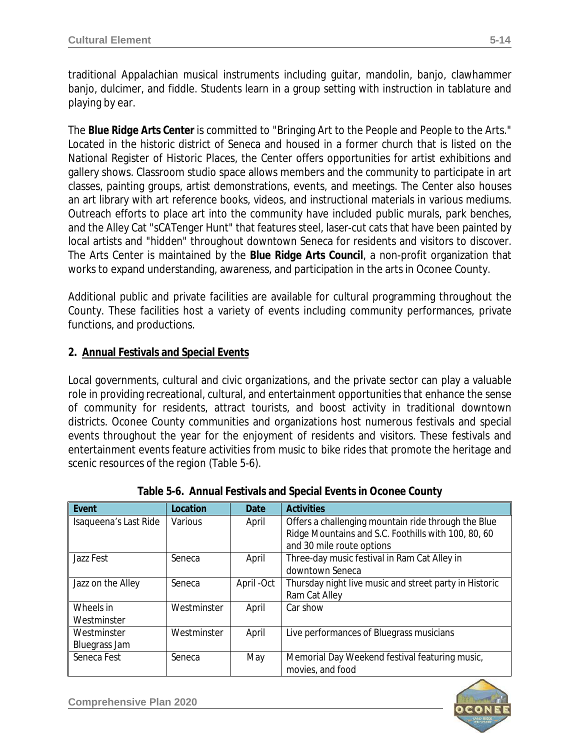traditional Appalachian musical instruments including guitar, mandolin, banjo, clawhammer banjo, dulcimer, and fiddle. Students learn in a group setting with instruction in tablature and playing by ear.

The *Blue Ridge Arts Center* is committed to "Bringing Art to the People and People to the Arts." Located in the historic district of Seneca and housed in a former church that is listed on the National Register of Historic Places, the Center offers opportunities for artist exhibitions and gallery shows. Classroom studio space allows members and the community to participate in art classes, painting groups, artist demonstrations, events, and meetings. The Center also houses an art library with art reference books, videos, and instructional materials in various mediums. Outreach efforts to place art into the community have included public murals, park benches, and the Alley Cat "sCATenger Hunt" that features steel, laser-cut cats that have been painted by local artists and "hidden" throughout downtown Seneca for residents and visitors to discover. The Arts Center is maintained by the *Blue Ridge Arts Council*, a non-profit organization that works to expand understanding, awareness, and participation in the arts in Oconee County.

Additional public and private facilities are available for cultural programming throughout the County. These facilities host a variety of events including community performances, private functions, and productions.

## **2. Annual Festivals and Special Events**

Local governments, cultural and civic organizations, and the private sector can play a valuable role in providing recreational, cultural, and entertainment opportunities that enhance the sense of community for residents, attract tourists, and boost activity in traditional downtown districts. Oconee County communities and organizations host numerous festivals and special events throughout the year for the enjoyment of residents and visitors. These festivals and entertainment events feature activities from music to bike rides that promote the heritage and scenic resources of the region (Table 5-6).

| Event                 | Location    | Date       | <b>Activities</b>                                      |
|-----------------------|-------------|------------|--------------------------------------------------------|
| Isaqueena's Last Ride | Various     | April      | Offers a challenging mountain ride through the Blue    |
|                       |             |            | Ridge Mountains and S.C. Foothills with 100, 80, 60    |
|                       |             |            | and 30 mile route options                              |
| Jazz Fest             | Seneca      | April      | Three-day music festival in Ram Cat Alley in           |
|                       |             |            | downtown Seneca                                        |
| Jazz on the Alley     | Seneca      | April -Oct | Thursday night live music and street party in Historic |
|                       |             |            | Ram Cat Alley                                          |
| Wheels in             | Westminster | April      | Car show                                               |
| Westminster           |             |            |                                                        |
| Westminster           | Westminster | April      | Live performances of Bluegrass musicians               |
| Bluegrass Jam         |             |            |                                                        |
| Seneca Fest           | Seneca      | May        | Memorial Day Weekend festival featuring music,         |
|                       |             |            | movies, and food                                       |

|  |  | Table 5-6. Annual Festivals and Special Events in Oconee County |  |  |
|--|--|-----------------------------------------------------------------|--|--|
|--|--|-----------------------------------------------------------------|--|--|

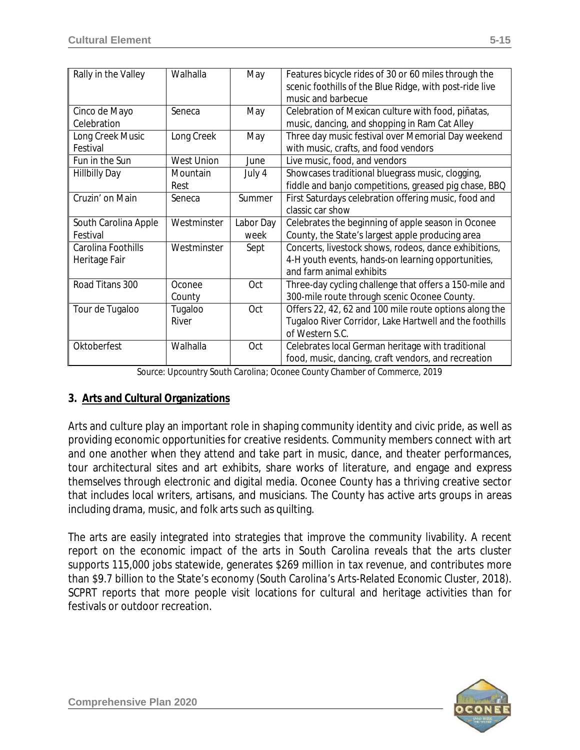| Rally in the Valley  | Walhalla          | May       | Features bicycle rides of 30 or 60 miles through the<br>scenic foothills of the Blue Ridge, with post-ride live<br>music and barbecue |
|----------------------|-------------------|-----------|---------------------------------------------------------------------------------------------------------------------------------------|
|                      |                   |           |                                                                                                                                       |
| Cinco de Mayo        | Seneca            | May       | Celebration of Mexican culture with food, piñatas,                                                                                    |
| Celebration          |                   |           | music, dancing, and shopping in Ram Cat Alley                                                                                         |
| Long Creek Music     | Long Creek        | May       | Three day music festival over Memorial Day weekend                                                                                    |
| Festival             |                   |           | with music, crafts, and food vendors                                                                                                  |
| Fun in the Sun       | <b>West Union</b> | June      | Live music, food, and vendors                                                                                                         |
| <b>Hillbilly Day</b> | Mountain          | July 4    | Showcases traditional bluegrass music, clogging,                                                                                      |
|                      | Rest              |           | fiddle and banjo competitions, greased pig chase, BBQ                                                                                 |
| Cruzin' on Main      | Seneca            | Summer    | First Saturdays celebration offering music, food and                                                                                  |
|                      |                   |           | classic car show                                                                                                                      |
| South Carolina Apple | Westminster       | Labor Day | Celebrates the beginning of apple season in Oconee                                                                                    |
| Festival             |                   | week      | County, the State's largest apple producing area                                                                                      |
| Carolina Foothills   | Westminster       | Sept      | Concerts, livestock shows, rodeos, dance exhibitions,                                                                                 |
| Heritage Fair        |                   |           | 4-H youth events, hands-on learning opportunities,                                                                                    |
|                      |                   |           | and farm animal exhibits                                                                                                              |
| Road Titans 300      | Oconee            | Oct       | Three-day cycling challenge that offers a 150-mile and                                                                                |
|                      | County            |           | 300-mile route through scenic Oconee County.                                                                                          |
| Tour de Tugaloo      | Tugaloo           | Oct       | Offers 22, 42, 62 and 100 mile route options along the                                                                                |
|                      | River             |           | Tugaloo River Corridor, Lake Hartwell and the foothills                                                                               |
|                      |                   |           | of Western S.C.                                                                                                                       |
| Oktoberfest          | Walhalla          | Oct       | Celebrates local German heritage with traditional                                                                                     |
|                      |                   |           | food, music, dancing, craft vendors, and recreation                                                                                   |

*Source: Upcountry South Carolina; Oconee County Chamber of Commerce, 2019*

#### **3. Arts and Cultural Organizations**

Arts and culture play an important role in shaping community identity and civic pride, as well as providing economic opportunities for creative residents. Community members connect with art and one another when they attend and take part in music, dance, and theater performances, tour architectural sites and art exhibits, share works of literature, and engage and express themselves through electronic and digital media. Oconee County has a thriving creative sector that includes local writers, artisans, and musicians. The County has active arts groups in areas including drama, music, and folk arts such as quilting.

The arts are easily integrated into strategies that improve the community livability. A recent report on the economic impact of the arts in South Carolina reveals that the arts cluster supports 115,000 jobs statewide, generates \$269 million in tax revenue, and contributes more than \$9.7 billion to the State's economy (*South Carolina's Arts-Related Economic Cluster, 2018*). SCPRT reports that more people visit locations for cultural and heritage activities than for festivals or outdoor recreation.

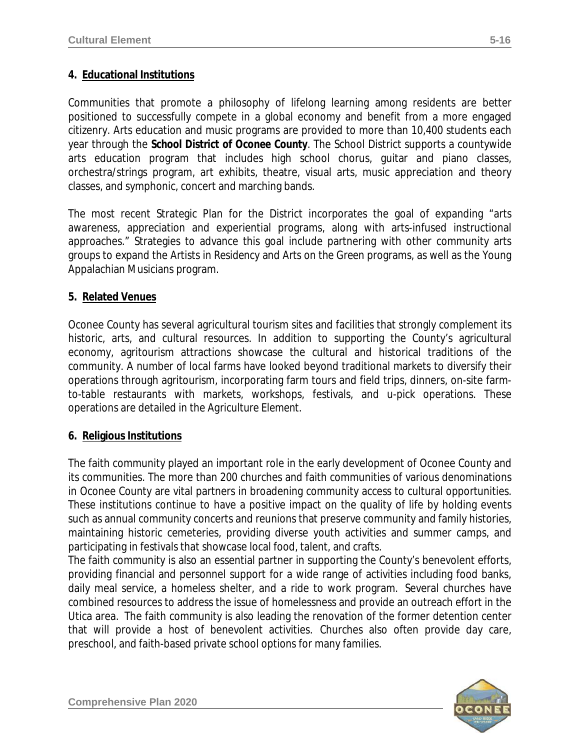### **4. Educational Institutions**

Communities that promote a philosophy of lifelong learning among residents are better positioned to successfully compete in a global economy and benefit from a more engaged citizenry. Arts education and music programs are provided to more than 10,400 students each year through the *School District of Oconee County*. The School District supports a countywide arts education program that includes high school chorus, guitar and piano classes, orchestra/strings program, art exhibits, theatre, visual arts, music appreciation and theory classes, and symphonic, concert and marching bands.

The most recent Strategic Plan for the District incorporates the goal of expanding "arts awareness, appreciation and experiential programs, along with arts-infused instructional approaches." Strategies to advance this goal include partnering with other community arts groups to expand the *Artists in Residency* and *Arts on the Green* programs, as well as the Young Appalachian Musicians program.

#### **5. Related Venues**

Oconee County has several agricultural tourism sites and facilities that strongly complement its historic, arts, and cultural resources. In addition to supporting the County's agricultural economy, agritourism attractions showcase the cultural and historical traditions of the community. A number of local farms have looked beyond traditional markets to diversify their operations through agritourism, incorporating farm tours and field trips, dinners, on-site farmto-table restaurants with markets, workshops, festivals, and u-pick operations. These operations are detailed in the *Agriculture Element*.

#### **6. Religious Institutions**

The faith community played an important role in the early development of Oconee County and its communities. The more than 200 churches and faith communities of various denominations in Oconee County are vital partners in broadening community access to cultural opportunities. These institutions continue to have a positive impact on the quality of life by holding events such as annual community concerts and reunions that preserve community and family histories, maintaining historic cemeteries, providing diverse youth activities and summer camps, and participating in festivals that showcase local food, talent, and crafts.

The faith community is also an essential partner in supporting the County's benevolent efforts, providing financial and personnel support for a wide range of activities including food banks, daily meal service, a homeless shelter, and a ride to work program. Several churches have combined resources to address the issue of homelessness and provide an outreach effort in the Utica area. The faith community is also leading the renovation of the former detention center that will provide a host of benevolent activities. Churches also often provide day care, preschool, and faith-based private school options for many families.

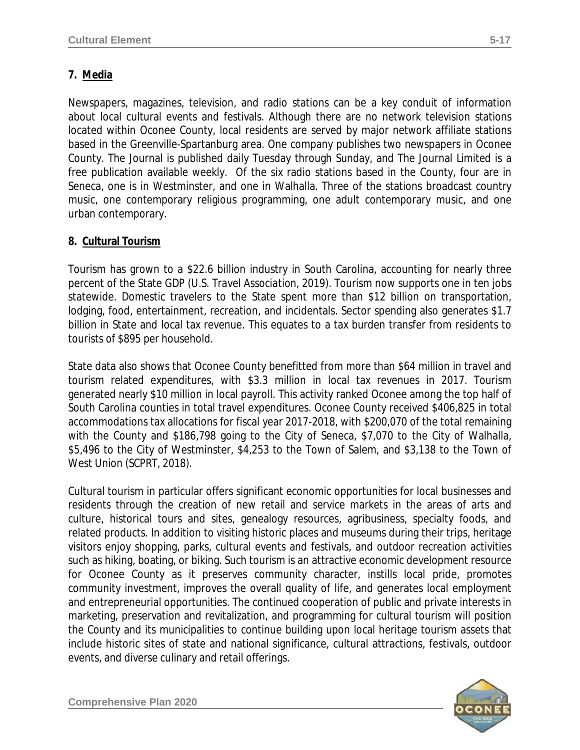# **7. Media**

Newspapers, magazines, television, and radio stations can be a key conduit of information about local cultural events and festivals. Although there are no network television stations located within Oconee County, local residents are served by major network affiliate stations based in the Greenville-Spartanburg area. One company publishes two newspapers in Oconee County. The Journal is published daily Tuesday through Sunday, and The Journal Limited is a free publication available weekly. Of the six radio stations based in the County, four are in Seneca, one is in Westminster, and one in Walhalla. Three of the stations broadcast country music, one contemporary religious programming, one adult contemporary music, and one urban contemporary.

# **8. Cultural Tourism**

Tourism has grown to a \$22.6 billion industry in South Carolina, accounting for nearly three percent of the State GDP (*U.S. Travel Association, 2019*). Tourism now supports one in ten jobs statewide. Domestic travelers to the State spent more than \$12 billion on transportation, lodging, food, entertainment, recreation, and incidentals. Sector spending also generates \$1.7 billion in State and local tax revenue. This equates to a tax burden transfer from residents to tourists of \$895 per household.

State data also shows that Oconee County benefitted from more than \$64 million in travel and tourism related expenditures, with \$3.3 million in local tax revenues in 2017. Tourism generated nearly \$10 million in local payroll. This activity ranked Oconee among the top half of South Carolina counties in total travel expenditures. Oconee County received \$406,825 in total accommodations tax allocations for fiscal year 2017-2018, with \$200,070 of the total remaining with the County and \$186,798 going to the City of Seneca, \$7,070 to the City of Walhalla, \$5,496 to the City of Westminster, \$4,253 to the Town of Salem, and \$3,138 to the Town of West Union *(SCPRT, 2018).*

Cultural tourism in particular offers significant economic opportunities for local businesses and residents through the creation of new retail and service markets in the areas of arts and culture, historical tours and sites, genealogy resources, agribusiness, specialty foods, and related products. In addition to visiting historic places and museums during their trips, heritage visitors enjoy shopping, parks, cultural events and festivals, and outdoor recreation activities such as hiking, boating, or biking. Such tourism is an attractive economic development resource for Oconee County as it preserves community character, instills local pride, promotes community investment, improves the overall quality of life, and generates local employment and entrepreneurial opportunities. The continued cooperation of public and private interests in marketing, preservation and revitalization, and programming for cultural tourism will position the County and its municipalities to continue building upon local heritage tourism assets that include historic sites of state and national significance, cultural attractions, festivals, outdoor events, and diverse culinary and retail offerings.

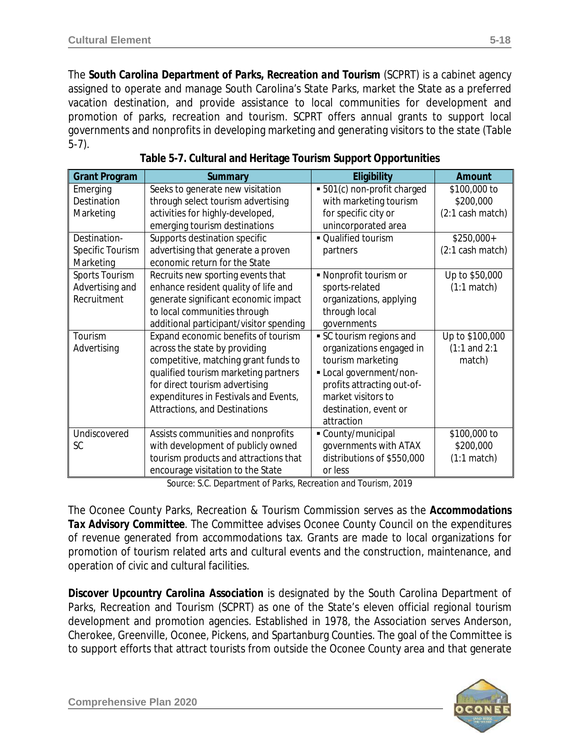The *South Carolina Department of Parks, Recreation and Tourism* (SCPRT) is a cabinet agency assigned to operate and manage South Carolina's State Parks, market the State as a preferred vacation destination, and provide assistance to local communities for development and promotion of parks, recreation and tourism. SCPRT offers annual grants to support local governments and nonprofits in developing marketing and generating visitors to the state (Table 5-7).

| <b>Grant Program</b> | Summary                                 | Eligibility                 | Amount                     |
|----------------------|-----------------------------------------|-----------------------------|----------------------------|
| Emerging             | Seeks to generate new visitation        | • 501(c) non-profit charged | \$100,000 to               |
| Destination          | through select tourism advertising      | with marketing tourism      | \$200,000                  |
| Marketing            | activities for highly-developed,        | for specific city or        | $(2:1 \text{ cash match})$ |
|                      | emerging tourism destinations           | unincorporated area         |                            |
| Destination-         | Supports destination specific           | • Qualified tourism         | $$250,000+$                |
| Specific Tourism     | advertising that generate a proven      | partners                    | (2:1 cash match)           |
| Marketing            | economic return for the State           |                             |                            |
| Sports Tourism       | Recruits new sporting events that       | • Nonprofit tourism or      | Up to \$50,000             |
| Advertising and      | enhance resident quality of life and    | sports-related              | $(1:1 \text{ match})$      |
| Recruitment          | generate significant economic impact    | organizations, applying     |                            |
|                      | to local communities through            | through local               |                            |
|                      | additional participant/visitor spending | governments                 |                            |
| Tourism              | Expand economic benefits of tourism     | SC tourism regions and      | Up to \$100,000            |
| Advertising          | across the state by providing           | organizations engaged in    | $(1:1$ and $2:1$           |
|                      | competitive, matching grant funds to    | tourism marketing           | match)                     |
|                      | qualified tourism marketing partners    | - Local government/non-     |                            |
|                      | for direct tourism advertising          | profits attracting out-of-  |                            |
|                      | expenditures in Festivals and Events,   | market visitors to          |                            |
|                      | <b>Attractions, and Destinations</b>    | destination, event or       |                            |
|                      |                                         | attraction                  |                            |
| Undiscovered         | Assists communities and nonprofits      | County/municipal            | \$100,000 to               |
| <b>SC</b>            | with development of publicly owned      | governments with ATAX       | \$200,000                  |
|                      | tourism products and attractions that   | distributions of \$550,000  | $(1:1 \text{ match})$      |
|                      | encourage visitation to the State       | or less                     |                            |

| Table 5-7. Cultural and Heritage Tourism Support Opportunities |  |  |
|----------------------------------------------------------------|--|--|
|                                                                |  |  |

*Source: S.C. Department of Parks, Recreation and Tourism, 2019*

The Oconee County Parks, Recreation & Tourism Commission serves as the *Accommodations Tax Advisory Committee*. The Committee advises Oconee County Council on the expenditures of revenue generated from accommodations tax. Grants are made to local organizations for promotion of tourism related arts and cultural events and the construction, maintenance, and operation of civic and cultural facilities.

*Discover Upcountry Carolina Association* is designated by the South Carolina Department of Parks, Recreation and Tourism (SCPRT) as one of the State's eleven official regional tourism development and promotion agencies. Established in 1978, the Association serves Anderson, Cherokee, Greenville, Oconee, Pickens, and Spartanburg Counties. The goal of the Committee is to support efforts that attract tourists from outside the Oconee County area and that generate

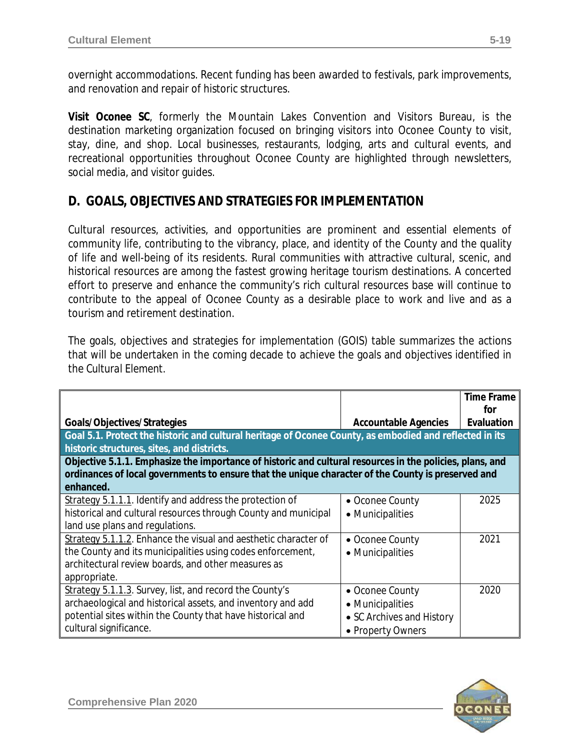overnight accommodations. Recent funding has been awarded to festivals, park improvements, and renovation and repair of historic structures.

*Visit Oconee SC*, formerly the Mountain Lakes Convention and Visitors Bureau, is the destination marketing organization focused on bringing visitors into Oconee County to visit, stay, dine, and shop. Local businesses, restaurants, lodging, arts and cultural events, and recreational opportunities throughout Oconee County are highlighted through newsletters, social media, and visitor guides.

# **D. GOALS, OBJECTIVES AND STRATEGIES FOR IMPLEMENTATION**

Cultural resources, activities, and opportunities are prominent and essential elements of community life, contributing to the vibrancy, place, and identity of the County and the quality of life and well-being of its residents. Rural communities with attractive cultural, scenic, and historical resources are among the fastest growing heritage tourism destinations. A concerted effort to preserve and enhance the community's rich cultural resources base will continue to contribute to the appeal of Oconee County as a desirable place to work and live and as a tourism and retirement destination.

The goals, objectives and strategies for implementation (GOIS) table summarizes the actions that will be undertaken in the coming decade to achieve the goals and objectives identified in the *Cultural Element*.

|                                                                                                                                                                                                                |                                                                                       | <b>Time Frame</b><br>for |
|----------------------------------------------------------------------------------------------------------------------------------------------------------------------------------------------------------------|---------------------------------------------------------------------------------------|--------------------------|
| Goals/Objectives/Strategies                                                                                                                                                                                    | <b>Accountable Agencies</b>                                                           | Evaluation               |
| Goal 5.1. Protect the historic and cultural heritage of Oconee County, as embodied and reflected in its<br>historic structures, sites, and districts.                                                          |                                                                                       |                          |
| Objective 5.1.1. Emphasize the importance of historic and cultural resources in the policies, plans, and<br>ordinances of local governments to ensure that the unique character of the County is preserved and |                                                                                       |                          |
| enhanced.                                                                                                                                                                                                      |                                                                                       |                          |
| Strategy 5.1.1.1. Identify and address the protection of<br>historical and cultural resources through County and municipal<br>land use plans and regulations.                                                  | • Oconee County<br>• Municipalities                                                   | 2025                     |
| Strategy 5.1.1.2. Enhance the visual and aesthetic character of<br>the County and its municipalities using codes enforcement,<br>architectural review boards, and other measures as<br>appropriate.            | • Oconee County<br>• Municipalities                                                   | 2021                     |
| Strategy 5.1.1.3. Survey, list, and record the County's<br>archaeological and historical assets, and inventory and add<br>potential sites within the County that have historical and<br>cultural significance. | • Oconee County<br>• Municipalities<br>• SC Archives and History<br>• Property Owners | 2020                     |

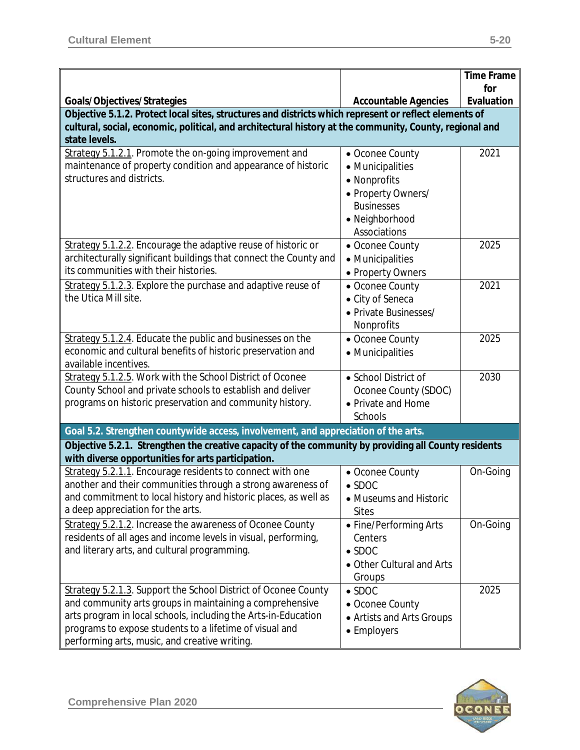|                                                                                                         |                                         | <b>Time Frame</b> |
|---------------------------------------------------------------------------------------------------------|-----------------------------------------|-------------------|
| Goals/Objectives/Strategies                                                                             | <b>Accountable Agencies</b>             | for<br>Evaluation |
| Objective 5.1.2. Protect local sites, structures and districts which represent or reflect elements of   |                                         |                   |
| cultural, social, economic, political, and architectural history at the community, County, regional and |                                         |                   |
| state levels.                                                                                           |                                         |                   |
| Strategy 5.1.2.1. Promote the on-going improvement and                                                  | • Oconee County                         | 2021              |
| maintenance of property condition and appearance of historic<br>structures and districts.               | • Municipalities                        |                   |
|                                                                                                         | • Nonprofits                            |                   |
|                                                                                                         | • Property Owners/<br><b>Businesses</b> |                   |
|                                                                                                         | • Neighborhood                          |                   |
|                                                                                                         | Associations                            |                   |
| Strategy 5.1.2.2. Encourage the adaptive reuse of historic or                                           | • Oconee County                         | 2025              |
| architecturally significant buildings that connect the County and                                       | • Municipalities                        |                   |
| its communities with their histories.                                                                   | • Property Owners                       |                   |
| Strategy 5.1.2.3. Explore the purchase and adaptive reuse of                                            | • Oconee County                         | 2021              |
| the Utica Mill site.                                                                                    | • City of Seneca                        |                   |
|                                                                                                         | • Private Businesses/                   |                   |
|                                                                                                         | Nonprofits                              |                   |
| Strategy 5.1.2.4. Educate the public and businesses on the                                              | • Oconee County                         | 2025              |
| economic and cultural benefits of historic preservation and                                             | • Municipalities                        |                   |
| available incentives.                                                                                   |                                         |                   |
| Strategy 5.1.2.5. Work with the School District of Oconee                                               | • School District of                    | 2030              |
| County School and private schools to establish and deliver                                              | Oconee County (SDOC)                    |                   |
| programs on historic preservation and community history.                                                | • Private and Home                      |                   |
|                                                                                                         | Schools                                 |                   |
| Goal 5.2. Strengthen countywide access, involvement, and appreciation of the arts.                      |                                         |                   |
| Objective 5.2.1. Strengthen the creative capacity of the community by providing all County residents    |                                         |                   |
| with diverse opportunities for arts participation.                                                      |                                         |                   |
| Strategy 5.2.1.1. Encourage residents to connect with one                                               | • Oconee County                         | On-Going          |
| another and their communities through a strong awareness of                                             | $\bullet$ SDOC                          |                   |
| and commitment to local history and historic places, as well as                                         | • Museums and Historic                  |                   |
| a deep appreciation for the arts.                                                                       | <b>Sites</b>                            |                   |
| Strategy 5.2.1.2. Increase the awareness of Oconee County                                               | • Fine/Performing Arts                  | On-Going          |
| residents of all ages and income levels in visual, performing,                                          | Centers                                 |                   |
| and literary arts, and cultural programming.                                                            | $\bullet$ SDOC                          |                   |
|                                                                                                         | • Other Cultural and Arts<br>Groups     |                   |
| Strategy 5.2.1.3. Support the School District of Oconee County                                          | $\bullet$ SDOC                          | 2025              |
| and community arts groups in maintaining a comprehensive                                                | • Oconee County                         |                   |
| arts program in local schools, including the Arts-in-Education                                          | • Artists and Arts Groups               |                   |
| programs to expose students to a lifetime of visual and                                                 | • Employers                             |                   |
| performing arts, music, and creative writing.                                                           |                                         |                   |

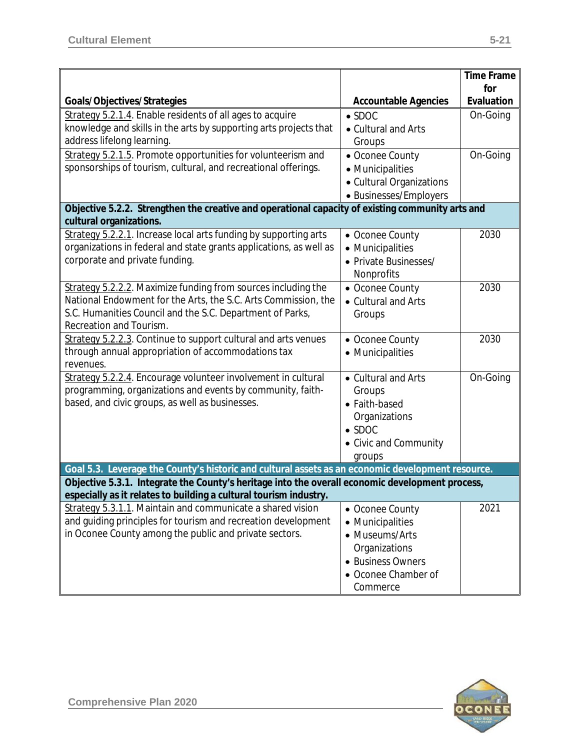|                                                                                                                                                                                                      |                             | <b>Time Frame</b> |  |
|------------------------------------------------------------------------------------------------------------------------------------------------------------------------------------------------------|-----------------------------|-------------------|--|
| Goals/Objectives/Strategies                                                                                                                                                                          | <b>Accountable Agencies</b> | for<br>Evaluation |  |
| Strategy 5.2.1.4. Enable residents of all ages to acquire                                                                                                                                            | $\bullet$ SDOC              | On-Going          |  |
| knowledge and skills in the arts by supporting arts projects that                                                                                                                                    | • Cultural and Arts         |                   |  |
| address lifelong learning.                                                                                                                                                                           | Groups                      |                   |  |
| Strategy 5.2.1.5. Promote opportunities for volunteerism and                                                                                                                                         | • Oconee County             | On-Going          |  |
| sponsorships of tourism, cultural, and recreational offerings.                                                                                                                                       | • Municipalities            |                   |  |
|                                                                                                                                                                                                      | • Cultural Organizations    |                   |  |
|                                                                                                                                                                                                      | • Businesses/Employers      |                   |  |
| Objective 5.2.2. Strengthen the creative and operational capacity of existing community arts and                                                                                                     |                             |                   |  |
| cultural organizations.                                                                                                                                                                              |                             |                   |  |
| Strategy 5.2.2.1. Increase local arts funding by supporting arts                                                                                                                                     | • Oconee County             | 2030              |  |
| organizations in federal and state grants applications, as well as                                                                                                                                   | • Municipalities            |                   |  |
| corporate and private funding.                                                                                                                                                                       | • Private Businesses/       |                   |  |
|                                                                                                                                                                                                      | Nonprofits                  |                   |  |
| Strategy 5.2.2.2. Maximize funding from sources including the                                                                                                                                        | • Oconee County             | 2030              |  |
| National Endowment for the Arts, the S.C. Arts Commission, the                                                                                                                                       | • Cultural and Arts         |                   |  |
| S.C. Humanities Council and the S.C. Department of Parks,                                                                                                                                            | Groups                      |                   |  |
| Recreation and Tourism.                                                                                                                                                                              |                             |                   |  |
| Strategy 5.2.2.3. Continue to support cultural and arts venues                                                                                                                                       | • Oconee County             | 2030              |  |
| through annual appropriation of accommodations tax                                                                                                                                                   | • Municipalities            |                   |  |
| revenues.                                                                                                                                                                                            |                             |                   |  |
| Strategy 5.2.2.4. Encourage volunteer involvement in cultural                                                                                                                                        | • Cultural and Arts         | On-Going          |  |
| programming, organizations and events by community, faith-                                                                                                                                           | Groups                      |                   |  |
| based, and civic groups, as well as businesses.                                                                                                                                                      | • Faith-based               |                   |  |
|                                                                                                                                                                                                      | Organizations               |                   |  |
|                                                                                                                                                                                                      | $\bullet$ SDOC              |                   |  |
|                                                                                                                                                                                                      | • Civic and Community       |                   |  |
|                                                                                                                                                                                                      | groups                      |                   |  |
| Goal 5.3. Leverage the County's historic and cultural assets as an economic development resource.<br>Objective 5.3.1. Integrate the County's heritage into the overall economic development process, |                             |                   |  |
| especially as it relates to building a cultural tourism industry.                                                                                                                                    |                             |                   |  |
| Strategy 5.3.1.1. Maintain and communicate a shared vision                                                                                                                                           | • Oconee County             | 2021              |  |
| and guiding principles for tourism and recreation development                                                                                                                                        | • Municipalities            |                   |  |
| in Oconee County among the public and private sectors.                                                                                                                                               | • Museums/Arts              |                   |  |
|                                                                                                                                                                                                      | Organizations               |                   |  |
|                                                                                                                                                                                                      | • Business Owners           |                   |  |
|                                                                                                                                                                                                      | • Oconee Chamber of         |                   |  |
|                                                                                                                                                                                                      | Commerce                    |                   |  |